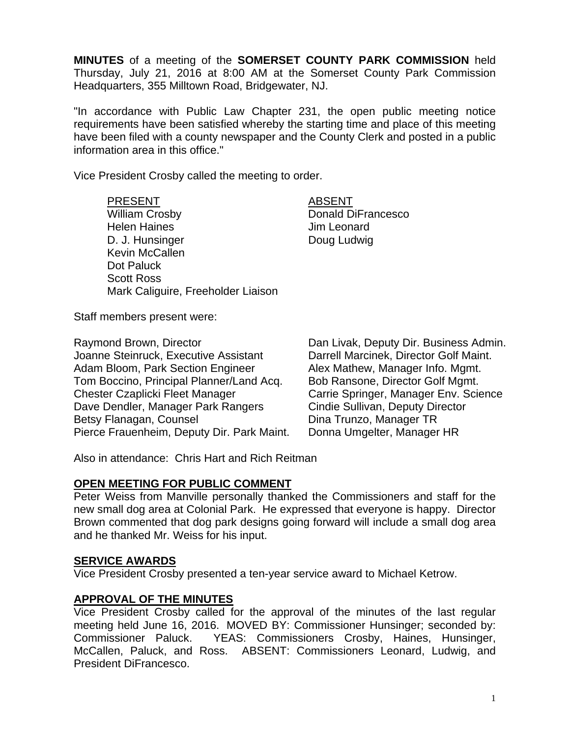**MINUTES** of a meeting of the **SOMERSET COUNTY PARK COMMISSION** held Thursday, July 21, 2016 at 8:00 AM at the Somerset County Park Commission Headquarters, 355 Milltown Road, Bridgewater, NJ.

"In accordance with Public Law Chapter 231, the open public meeting notice requirements have been satisfied whereby the starting time and place of this meeting have been filed with a county newspaper and the County Clerk and posted in a public information area in this office."

Vice President Crosby called the meeting to order.

PRESENT ABSENT William Crosby **Donald DiFrancesco** Helen Haines **All Accord Strutter Haines** Jim Leonard D. J. Hunsinger Doug Ludwig Kevin McCallen Dot Paluck Scott Ross Mark Caliguire, Freeholder Liaison

Staff members present were:

Raymond Brown, Director **Dan Livak, Deputy Dir. Business Admin.** Joanne Steinruck, Executive Assistant Darrell Marcinek, Director Golf Maint. Adam Bloom, Park Section Engineer Alex Mathew, Manager Info. Mgmt. Tom Boccino, Principal Planner/Land Acq. Bob Ransone, Director Golf Mgmt. Chester Czaplicki Fleet Manager Carrie Springer, Manager Env. Science Dave Dendler, Manager Park Rangers Cindie Sullivan, Deputy Director Betsy Flanagan, Counsel **Dina Trunzo**, Manager TR Pierce Frauenheim, Deputy Dir. Park Maint. Donna Umgelter, Manager HR

Also in attendance: Chris Hart and Rich Reitman

# **OPEN MEETING FOR PUBLIC COMMENT**

Peter Weiss from Manville personally thanked the Commissioners and staff for the new small dog area at Colonial Park. He expressed that everyone is happy. Director Brown commented that dog park designs going forward will include a small dog area and he thanked Mr. Weiss for his input.

# **SERVICE AWARDS**

Vice President Crosby presented a ten-year service award to Michael Ketrow.

# **APPROVAL OF THE MINUTES**

Vice President Crosby called for the approval of the minutes of the last regular meeting held June 16, 2016. MOVED BY: Commissioner Hunsinger; seconded by: Commissioner Paluck. YEAS: Commissioners Crosby, Haines, Hunsinger, McCallen, Paluck, and Ross. ABSENT: Commissioners Leonard, Ludwig, and President DiFrancesco.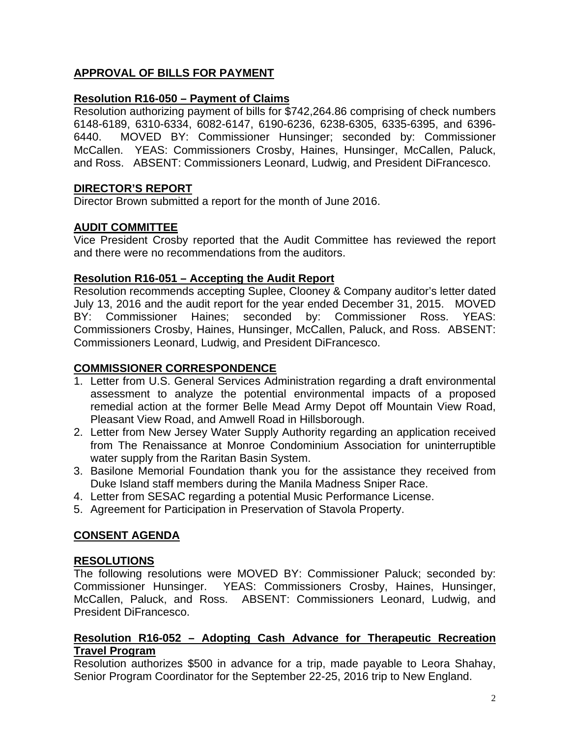# **APPROVAL OF BILLS FOR PAYMENT**

# **Resolution R16-050 – Payment of Claims**

Resolution authorizing payment of bills for \$742,264.86 comprising of check numbers 6148-6189, 6310-6334, 6082-6147, 6190-6236, 6238-6305, 6335-6395, and 6396- 6440. MOVED BY: Commissioner Hunsinger; seconded by: Commissioner McCallen. YEAS: Commissioners Crosby, Haines, Hunsinger, McCallen, Paluck, and Ross. ABSENT: Commissioners Leonard, Ludwig, and President DiFrancesco.

# **DIRECTOR'S REPORT**

Director Brown submitted a report for the month of June 2016.

# **AUDIT COMMITTEE**

Vice President Crosby reported that the Audit Committee has reviewed the report and there were no recommendations from the auditors.

# **Resolution R16-051 – Accepting the Audit Report**

Resolution recommends accepting Suplee, Clooney & Company auditor's letter dated July 13, 2016 and the audit report for the year ended December 31, 2015. MOVED BY: Commissioner Haines; seconded by: Commissioner Ross. YEAS: Commissioners Crosby, Haines, Hunsinger, McCallen, Paluck, and Ross. ABSENT: Commissioners Leonard, Ludwig, and President DiFrancesco.

# **COMMISSIONER CORRESPONDENCE**

- 1. Letter from U.S. General Services Administration regarding a draft environmental assessment to analyze the potential environmental impacts of a proposed remedial action at the former Belle Mead Army Depot off Mountain View Road, Pleasant View Road, and Amwell Road in Hillsborough.
- 2. Letter from New Jersey Water Supply Authority regarding an application received from The Renaissance at Monroe Condominium Association for uninterruptible water supply from the Raritan Basin System.
- 3. Basilone Memorial Foundation thank you for the assistance they received from Duke Island staff members during the Manila Madness Sniper Race.
- 4. Letter from SESAC regarding a potential Music Performance License.
- 5. Agreement for Participation in Preservation of Stavola Property.

# **CONSENT AGENDA**

# **RESOLUTIONS**

The following resolutions were MOVED BY: Commissioner Paluck; seconded by: Commissioner Hunsinger. YEAS: Commissioners Crosby, Haines, Hunsinger, McCallen, Paluck, and Ross. ABSENT: Commissioners Leonard, Ludwig, and President DiFrancesco.

#### **Resolution R16-052 – Adopting Cash Advance for Therapeutic Recreation Travel Program**

Resolution authorizes \$500 in advance for a trip, made payable to Leora Shahay, Senior Program Coordinator for the September 22-25, 2016 trip to New England.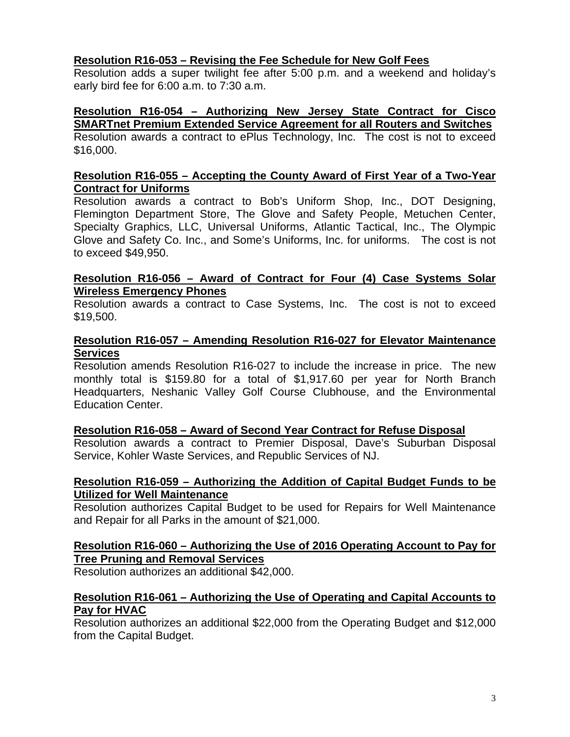# **Resolution R16-053 – Revising the Fee Schedule for New Golf Fees**

Resolution adds a super twilight fee after 5:00 p.m. and a weekend and holiday's early bird fee for 6:00 a.m. to 7:30 a.m.

#### **Resolution R16-054 – Authorizing New Jersey State Contract for Cisco SMARTnet Premium Extended Service Agreement for all Routers and Switches**

Resolution awards a contract to ePlus Technology, Inc. The cost is not to exceed \$16,000.

# **Resolution R16-055 – Accepting the County Award of First Year of a Two-Year Contract for Uniforms**

Resolution awards a contract to Bob's Uniform Shop, Inc., DOT Designing, Flemington Department Store, The Glove and Safety People, Metuchen Center, Specialty Graphics, LLC, Universal Uniforms, Atlantic Tactical, Inc., The Olympic Glove and Safety Co. Inc., and Some's Uniforms, Inc. for uniforms. The cost is not to exceed \$49,950.

# **Resolution R16-056 – Award of Contract for Four (4) Case Systems Solar Wireless Emergency Phones**

Resolution awards a contract to Case Systems, Inc. The cost is not to exceed \$19,500.

# **Resolution R16-057 – Amending Resolution R16-027 for Elevator Maintenance Services**

Resolution amends Resolution R16-027 to include the increase in price. The new monthly total is \$159.80 for a total of \$1,917.60 per year for North Branch Headquarters, Neshanic Valley Golf Course Clubhouse, and the Environmental Education Center.

# **Resolution R16-058 – Award of Second Year Contract for Refuse Disposal**

Resolution awards a contract to Premier Disposal, Dave's Suburban Disposal Service, Kohler Waste Services, and Republic Services of NJ.

#### **Resolution R16-059 – Authorizing the Addition of Capital Budget Funds to be Utilized for Well Maintenance**

Resolution authorizes Capital Budget to be used for Repairs for Well Maintenance and Repair for all Parks in the amount of \$21,000.

#### **Resolution R16-060 – Authorizing the Use of 2016 Operating Account to Pay for Tree Pruning and Removal Services**

Resolution authorizes an additional \$42,000.

# **Resolution R16-061 – Authorizing the Use of Operating and Capital Accounts to Pay for HVAC**

Resolution authorizes an additional \$22,000 from the Operating Budget and \$12,000 from the Capital Budget.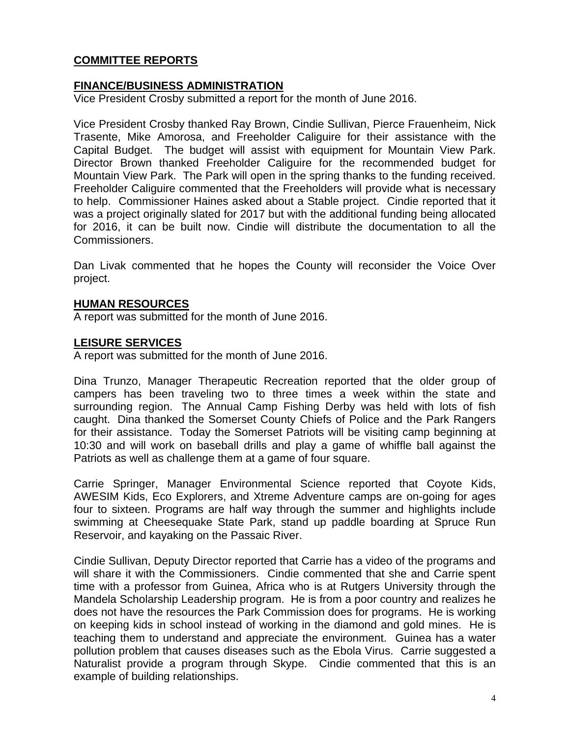# **COMMITTEE REPORTS**

# **FINANCE/BUSINESS ADMINISTRATION**

Vice President Crosby submitted a report for the month of June 2016.

Vice President Crosby thanked Ray Brown, Cindie Sullivan, Pierce Frauenheim, Nick Trasente, Mike Amorosa, and Freeholder Caliguire for their assistance with the Capital Budget. The budget will assist with equipment for Mountain View Park. Director Brown thanked Freeholder Caliguire for the recommended budget for Mountain View Park. The Park will open in the spring thanks to the funding received. Freeholder Caliguire commented that the Freeholders will provide what is necessary to help. Commissioner Haines asked about a Stable project. Cindie reported that it was a project originally slated for 2017 but with the additional funding being allocated for 2016, it can be built now. Cindie will distribute the documentation to all the Commissioners.

Dan Livak commented that he hopes the County will reconsider the Voice Over project.

#### **HUMAN RESOURCES**

A report was submitted for the month of June 2016.

#### **LEISURE SERVICES**

A report was submitted for the month of June 2016.

Dina Trunzo, Manager Therapeutic Recreation reported that the older group of campers has been traveling two to three times a week within the state and surrounding region. The Annual Camp Fishing Derby was held with lots of fish caught. Dina thanked the Somerset County Chiefs of Police and the Park Rangers for their assistance. Today the Somerset Patriots will be visiting camp beginning at 10:30 and will work on baseball drills and play a game of whiffle ball against the Patriots as well as challenge them at a game of four square.

Carrie Springer, Manager Environmental Science reported that Coyote Kids, AWESIM Kids, Eco Explorers, and Xtreme Adventure camps are on-going for ages four to sixteen. Programs are half way through the summer and highlights include swimming at Cheesequake State Park, stand up paddle boarding at Spruce Run Reservoir, and kayaking on the Passaic River.

Cindie Sullivan, Deputy Director reported that Carrie has a video of the programs and will share it with the Commissioners. Cindie commented that she and Carrie spent time with a professor from Guinea, Africa who is at Rutgers University through the Mandela Scholarship Leadership program. He is from a poor country and realizes he does not have the resources the Park Commission does for programs. He is working on keeping kids in school instead of working in the diamond and gold mines. He is teaching them to understand and appreciate the environment. Guinea has a water pollution problem that causes diseases such as the Ebola Virus. Carrie suggested a Naturalist provide a program through Skype. Cindie commented that this is an example of building relationships.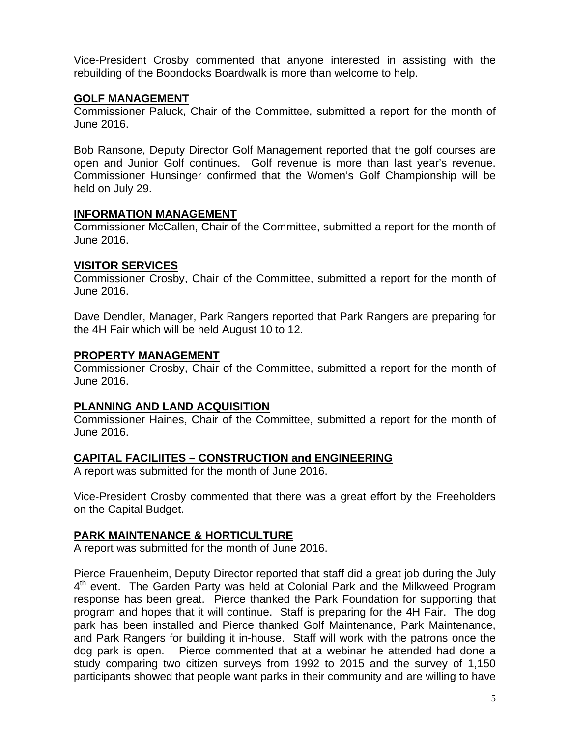Vice-President Crosby commented that anyone interested in assisting with the rebuilding of the Boondocks Boardwalk is more than welcome to help.

### **GOLF MANAGEMENT**

Commissioner Paluck, Chair of the Committee, submitted a report for the month of June 2016.

Bob Ransone, Deputy Director Golf Management reported that the golf courses are open and Junior Golf continues. Golf revenue is more than last year's revenue. Commissioner Hunsinger confirmed that the Women's Golf Championship will be held on July 29.

#### **INFORMATION MANAGEMENT**

Commissioner McCallen, Chair of the Committee, submitted a report for the month of June 2016.

#### **VISITOR SERVICES**

Commissioner Crosby, Chair of the Committee, submitted a report for the month of June 2016.

Dave Dendler, Manager, Park Rangers reported that Park Rangers are preparing for the 4H Fair which will be held August 10 to 12.

#### **PROPERTY MANAGEMENT**

Commissioner Crosby, Chair of the Committee, submitted a report for the month of June 2016.

# **PLANNING AND LAND ACQUISITION**

Commissioner Haines, Chair of the Committee, submitted a report for the month of June 2016.

# **CAPITAL FACILIITES – CONSTRUCTION and ENGINEERING**

A report was submitted for the month of June 2016.

Vice-President Crosby commented that there was a great effort by the Freeholders on the Capital Budget.

# **PARK MAINTENANCE & HORTICULTURE**

A report was submitted for the month of June 2016.

Pierce Frauenheim, Deputy Director reported that staff did a great job during the July  $4<sup>th</sup>$  event. The Garden Party was held at Colonial Park and the Milkweed Program response has been great. Pierce thanked the Park Foundation for supporting that program and hopes that it will continue. Staff is preparing for the 4H Fair. The dog park has been installed and Pierce thanked Golf Maintenance, Park Maintenance, and Park Rangers for building it in-house. Staff will work with the patrons once the dog park is open. Pierce commented that at a webinar he attended had done a study comparing two citizen surveys from 1992 to 2015 and the survey of 1,150 participants showed that people want parks in their community and are willing to have